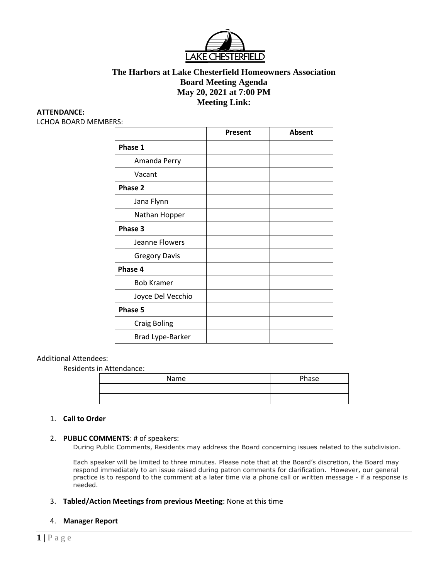

# **The Harbors at Lake Chesterfield Homeowners Association Board Meeting Agenda May 20, 2021 at 7:00 PM Meeting Link:**

#### **ATTENDANCE:**

LCHOA BOARD MEMBERS:

|                      | Present | <b>Absent</b> |
|----------------------|---------|---------------|
| Phase 1              |         |               |
| Amanda Perry         |         |               |
| Vacant               |         |               |
| Phase 2              |         |               |
| Jana Flynn           |         |               |
| Nathan Hopper        |         |               |
| Phase 3              |         |               |
| Jeanne Flowers       |         |               |
| <b>Gregory Davis</b> |         |               |
| Phase 4              |         |               |
| <b>Bob Kramer</b>    |         |               |
| Joyce Del Vecchio    |         |               |
| Phase 5              |         |               |
| <b>Craig Boling</b>  |         |               |
| Brad Lype-Barker     |         |               |

#### Additional Attendees:

Residents in Attendance:

| <i>.</i> |       |  |
|----------|-------|--|
| Name     | Phase |  |
|          |       |  |
|          |       |  |

### 1. **Call to Order**

#### 2. **PUBLIC COMMENTS**: # of speakers:

During Public Comments, Residents may address the Board concerning issues related to the subdivision.

Each speaker will be limited to three minutes. Please note that at the Board's discretion, the Board may respond immediately to an issue raised during patron comments for clarification. However, our general practice is to respond to the comment at a later time via a phone call or written message - if a response is needed.

3. **Tabled/Action Meetings from previous Meeting**: None at this time

#### 4. **Manager Report**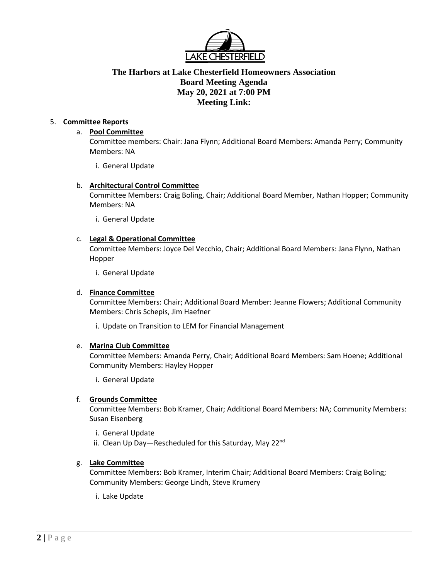

# **The Harbors at Lake Chesterfield Homeowners Association Board Meeting Agenda May 20, 2021 at 7:00 PM Meeting Link:**

# 5. **Committee Reports**

### a. **Pool Committee**

Committee members: Chair: Jana Flynn; Additional Board Members: Amanda Perry; Community Members: NA

i. General Update

### b. **Architectural Control Committee**

Committee Members: Craig Boling, Chair; Additional Board Member, Nathan Hopper; Community Members: NA

i. General Update

### c. **Legal & Operational Committee**

Committee Members: Joyce Del Vecchio, Chair; Additional Board Members: Jana Flynn, Nathan Hopper

i. General Update

#### d. **Finance Committee**

Committee Members: Chair; Additional Board Member: Jeanne Flowers; Additional Community Members: Chris Schepis, Jim Haefner

i. Update on Transition to LEM for Financial Management

#### e. **Marina Club Committee**

Committee Members: Amanda Perry, Chair; Additional Board Members: Sam Hoene; Additional Community Members: Hayley Hopper

i. General Update

# f. **Grounds Committee**

Committee Members: Bob Kramer, Chair; Additional Board Members: NA; Community Members: Susan Eisenberg

- i. General Update
- ii. Clean Up Day-Rescheduled for this Saturday, May 22<sup>nd</sup>

# g. **Lake Committee**

Committee Members: Bob Kramer, Interim Chair; Additional Board Members: Craig Boling; Community Members: George Lindh, Steve Krumery

i. Lake Update